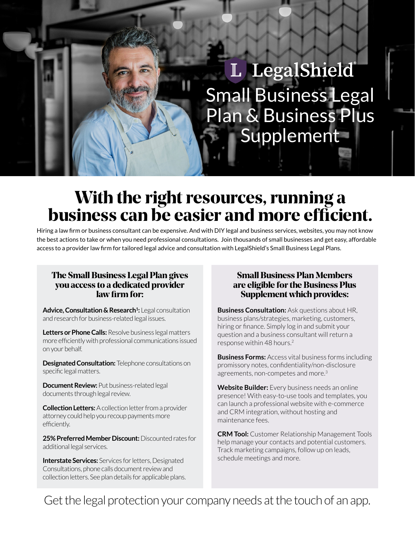# L LegalShield Small Business Legal Plan & Business Plus **Supplement**

## With the right resources, running a business can be easier and more efficient.

Hiring a law firm or business consultant can be expensive. And with DIY legal and business services, websites, you may not know the best actions to take or when you need professional consultations. Join thousands of small businesses and get easy, affordable access to a provider law firm for tailored legal advice and consultation with LegalShield's Small Business Legal Plans.

#### The Small Business Legal Plan gives you access to a dedicated provider law firm for:

**Advice, Consultation & Research1 :** Legal consultation and research for business-related legal issues.

**Letters or Phone Calls:** Resolve business legal matters more efficiently with professional communications issued on your behalf.

**Designated Consultation:** Telephone consultations on specific legal matters.

**Document Review:** Put business-related legal documents through legal review.

**Collection Letters:** A collection letter from a provider attorney could help you recoup payments more efficiently.

**25% Preferred Member Discount:** Discounted rates for additional legal services.

**Interstate Services:** Services for letters, Designated Consultations, phone calls document review and collection letters. See plan details for applicable plans.

#### Small Business Plan Members are eligible for the Business Plus Supplement which provides:

**Business Consultation:** Ask questions about HR, business plans/strategies, marketing, customers, hiring or finance. Simply log in and submit your question and a business consultant will return a response within 48 hours.<sup>2</sup>

**Business Forms:** Access vital business forms including promissory notes, confidentiality/non-disclosure agreements, non-competes and more.<sup>3</sup>

**Website Builder:** Every business needs an online presence! With easy-to-use tools and templates, you can launch a professional website with e-commerce and CRM integration, without hosting and maintenance fees.

**CRM Tool:** Customer Relationship Management Tools help manage your contacts and potential customers. Track marketing campaigns, follow up on leads, schedule meetings and more.

Get the legal protection your company needs at the touch of an app.